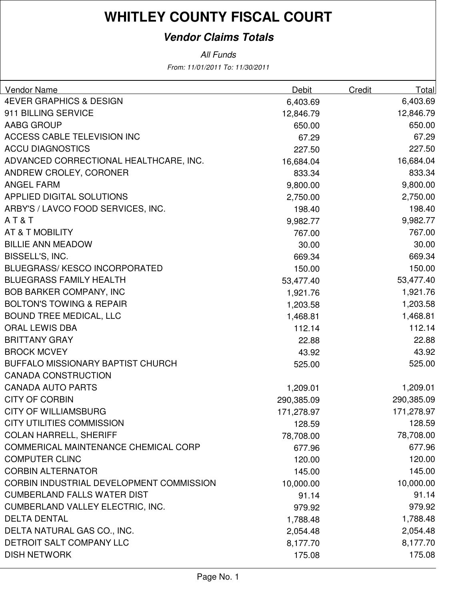### **Vendor Claims Totals**

From: 11/01/2011 To: 11/30/2011 All Funds

| <b>Vendor Name</b>                          | <b>Debit</b> | Credit | Total      |
|---------------------------------------------|--------------|--------|------------|
| <b>4EVER GRAPHICS &amp; DESIGN</b>          | 6,403.69     |        | 6,403.69   |
| 911 BILLING SERVICE                         | 12,846.79    |        | 12,846.79  |
| <b>AABG GROUP</b>                           | 650.00       |        | 650.00     |
| ACCESS CABLE TELEVISION INC                 | 67.29        |        | 67.29      |
| <b>ACCU DIAGNOSTICS</b>                     | 227.50       |        | 227.50     |
| ADVANCED CORRECTIONAL HEALTHCARE, INC.      | 16,684.04    |        | 16,684.04  |
| ANDREW CROLEY, CORONER                      | 833.34       |        | 833.34     |
| <b>ANGEL FARM</b>                           | 9,800.00     |        | 9,800.00   |
| APPLIED DIGITAL SOLUTIONS                   | 2,750.00     |        | 2,750.00   |
| ARBY'S / LAVCO FOOD SERVICES, INC.          | 198.40       |        | 198.40     |
| AT&T                                        | 9,982.77     |        | 9,982.77   |
| AT & T MOBILITY                             | 767.00       |        | 767.00     |
| <b>BILLIE ANN MEADOW</b>                    | 30.00        |        | 30.00      |
| BISSELL'S, INC.                             | 669.34       |        | 669.34     |
| <b>BLUEGRASS/KESCO INCORPORATED</b>         | 150.00       |        | 150.00     |
| <b>BLUEGRASS FAMILY HEALTH</b>              | 53,477.40    |        | 53,477.40  |
| <b>BOB BARKER COMPANY, INC</b>              | 1,921.76     |        | 1,921.76   |
| <b>BOLTON'S TOWING &amp; REPAIR</b>         | 1,203.58     |        | 1,203.58   |
| <b>BOUND TREE MEDICAL, LLC</b>              | 1,468.81     |        | 1,468.81   |
| <b>ORAL LEWIS DBA</b>                       | 112.14       |        | 112.14     |
| <b>BRITTANY GRAY</b>                        | 22.88        |        | 22.88      |
| <b>BROCK MCVEY</b>                          | 43.92        |        | 43.92      |
| <b>BUFFALO MISSIONARY BAPTIST CHURCH</b>    | 525.00       |        | 525.00     |
| <b>CANADA CONSTRUCTION</b>                  |              |        |            |
| <b>CANADA AUTO PARTS</b>                    | 1,209.01     |        | 1,209.01   |
| <b>CITY OF CORBIN</b>                       | 290,385.09   |        | 290,385.09 |
| <b>CITY OF WILLIAMSBURG</b>                 | 171,278.97   |        | 171,278.97 |
| <b>CITY UTILITIES COMMISSION</b>            | 128.59       |        | 128.59     |
| <b>COLAN HARRELL, SHERIFF</b>               | 78,708.00    |        | 78,708.00  |
| <b>COMMERICAL MAINTENANCE CHEMICAL CORP</b> | 677.96       |        | 677.96     |
| <b>COMPUTER CLINC</b>                       | 120.00       |        | 120.00     |
| <b>CORBIN ALTERNATOR</b>                    | 145.00       |        | 145.00     |
| CORBIN INDUSTRIAL DEVELOPMENT COMMISSION    | 10,000.00    |        | 10,000.00  |
| <b>CUMBERLAND FALLS WATER DIST</b>          | 91.14        |        | 91.14      |
| CUMBERLAND VALLEY ELECTRIC, INC.            | 979.92       |        | 979.92     |
| <b>DELTA DENTAL</b>                         | 1,788.48     |        | 1,788.48   |
| DELTA NATURAL GAS CO., INC.                 | 2,054.48     |        | 2,054.48   |
| DETROIT SALT COMPANY LLC                    | 8,177.70     |        | 8,177.70   |
| <b>DISH NETWORK</b>                         | 175.08       |        | 175.08     |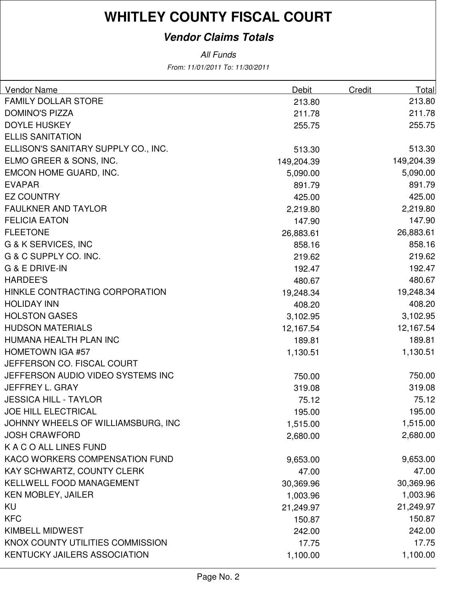### **Vendor Claims Totals**

From: 11/01/2011 To: 11/30/2011 All Funds

| <b>FAMILY DOLLAR STORE</b><br>213.80<br>213.80<br><b>DOMINO'S PIZZA</b><br>211.78<br><b>DOYLE HUSKEY</b><br>255.75<br>255.75<br><b>ELLIS SANITATION</b><br>ELLISON'S SANITARY SUPPLY CO., INC.<br>513.30<br>513.30<br>ELMO GREER & SONS, INC.<br>149,204.39<br>149,204.39<br>EMCON HOME GUARD, INC.<br>5,090.00<br>5,090.00<br><b>EVAPAR</b><br>891.79<br>425.00<br><b>EZ COUNTRY</b><br>425.00<br><b>FAULKNER AND TAYLOR</b><br>2,219.80<br>2,219.80<br>147.90<br><b>FELICIA EATON</b><br>147.90<br>26,883.61<br><b>FLEETONE</b><br>26,883.61<br>G & K SERVICES, INC<br>858.16<br>858.16<br>G & C SUPPLY CO. INC.<br>219.62<br><b>G &amp; E DRIVE-IN</b><br>192.47<br>480.67<br><b>HARDEE'S</b><br>480.67<br>HINKLE CONTRACTING CORPORATION<br>19,248.34<br>19,248.34<br><b>HOLIDAY INN</b><br>408.20<br>3,102.95<br><b>HOLSTON GASES</b><br>3,102.95<br><b>HUDSON MATERIALS</b><br>12,167.54<br>12,167.54<br>HUMANA HEALTH PLAN INC<br>189.81<br>189.81<br><b>HOMETOWN IGA #57</b><br>1,130.51<br>1,130.51<br>JEFFERSON CO. FISCAL COURT |
|--------------------------------------------------------------------------------------------------------------------------------------------------------------------------------------------------------------------------------------------------------------------------------------------------------------------------------------------------------------------------------------------------------------------------------------------------------------------------------------------------------------------------------------------------------------------------------------------------------------------------------------------------------------------------------------------------------------------------------------------------------------------------------------------------------------------------------------------------------------------------------------------------------------------------------------------------------------------------------------------------------------------------------------------|
| 211.78<br>891.79<br>219.62<br>408.20                                                                                                                                                                                                                                                                                                                                                                                                                                                                                                                                                                                                                                                                                                                                                                                                                                                                                                                                                                                                       |
|                                                                                                                                                                                                                                                                                                                                                                                                                                                                                                                                                                                                                                                                                                                                                                                                                                                                                                                                                                                                                                            |
|                                                                                                                                                                                                                                                                                                                                                                                                                                                                                                                                                                                                                                                                                                                                                                                                                                                                                                                                                                                                                                            |
|                                                                                                                                                                                                                                                                                                                                                                                                                                                                                                                                                                                                                                                                                                                                                                                                                                                                                                                                                                                                                                            |
|                                                                                                                                                                                                                                                                                                                                                                                                                                                                                                                                                                                                                                                                                                                                                                                                                                                                                                                                                                                                                                            |
|                                                                                                                                                                                                                                                                                                                                                                                                                                                                                                                                                                                                                                                                                                                                                                                                                                                                                                                                                                                                                                            |
|                                                                                                                                                                                                                                                                                                                                                                                                                                                                                                                                                                                                                                                                                                                                                                                                                                                                                                                                                                                                                                            |
|                                                                                                                                                                                                                                                                                                                                                                                                                                                                                                                                                                                                                                                                                                                                                                                                                                                                                                                                                                                                                                            |
|                                                                                                                                                                                                                                                                                                                                                                                                                                                                                                                                                                                                                                                                                                                                                                                                                                                                                                                                                                                                                                            |
|                                                                                                                                                                                                                                                                                                                                                                                                                                                                                                                                                                                                                                                                                                                                                                                                                                                                                                                                                                                                                                            |
|                                                                                                                                                                                                                                                                                                                                                                                                                                                                                                                                                                                                                                                                                                                                                                                                                                                                                                                                                                                                                                            |
| 192.47                                                                                                                                                                                                                                                                                                                                                                                                                                                                                                                                                                                                                                                                                                                                                                                                                                                                                                                                                                                                                                     |
|                                                                                                                                                                                                                                                                                                                                                                                                                                                                                                                                                                                                                                                                                                                                                                                                                                                                                                                                                                                                                                            |
|                                                                                                                                                                                                                                                                                                                                                                                                                                                                                                                                                                                                                                                                                                                                                                                                                                                                                                                                                                                                                                            |
|                                                                                                                                                                                                                                                                                                                                                                                                                                                                                                                                                                                                                                                                                                                                                                                                                                                                                                                                                                                                                                            |
|                                                                                                                                                                                                                                                                                                                                                                                                                                                                                                                                                                                                                                                                                                                                                                                                                                                                                                                                                                                                                                            |
|                                                                                                                                                                                                                                                                                                                                                                                                                                                                                                                                                                                                                                                                                                                                                                                                                                                                                                                                                                                                                                            |
|                                                                                                                                                                                                                                                                                                                                                                                                                                                                                                                                                                                                                                                                                                                                                                                                                                                                                                                                                                                                                                            |
|                                                                                                                                                                                                                                                                                                                                                                                                                                                                                                                                                                                                                                                                                                                                                                                                                                                                                                                                                                                                                                            |
|                                                                                                                                                                                                                                                                                                                                                                                                                                                                                                                                                                                                                                                                                                                                                                                                                                                                                                                                                                                                                                            |
|                                                                                                                                                                                                                                                                                                                                                                                                                                                                                                                                                                                                                                                                                                                                                                                                                                                                                                                                                                                                                                            |
|                                                                                                                                                                                                                                                                                                                                                                                                                                                                                                                                                                                                                                                                                                                                                                                                                                                                                                                                                                                                                                            |
|                                                                                                                                                                                                                                                                                                                                                                                                                                                                                                                                                                                                                                                                                                                                                                                                                                                                                                                                                                                                                                            |
| JEFFERSON AUDIO VIDEO SYSTEMS INC<br>750.00<br>750.00                                                                                                                                                                                                                                                                                                                                                                                                                                                                                                                                                                                                                                                                                                                                                                                                                                                                                                                                                                                      |
| JEFFREY L. GRAY<br>319.08<br>319.08                                                                                                                                                                                                                                                                                                                                                                                                                                                                                                                                                                                                                                                                                                                                                                                                                                                                                                                                                                                                        |
| <b>JESSICA HILL - TAYLOR</b><br>75.12<br>75.12                                                                                                                                                                                                                                                                                                                                                                                                                                                                                                                                                                                                                                                                                                                                                                                                                                                                                                                                                                                             |
| <b>JOE HILL ELECTRICAL</b><br>195.00<br>195.00                                                                                                                                                                                                                                                                                                                                                                                                                                                                                                                                                                                                                                                                                                                                                                                                                                                                                                                                                                                             |
| JOHNNY WHEELS OF WILLIAMSBURG, INC<br>1,515.00<br>1,515.00                                                                                                                                                                                                                                                                                                                                                                                                                                                                                                                                                                                                                                                                                                                                                                                                                                                                                                                                                                                 |
| <b>JOSH CRAWFORD</b><br>2,680.00<br>2,680.00                                                                                                                                                                                                                                                                                                                                                                                                                                                                                                                                                                                                                                                                                                                                                                                                                                                                                                                                                                                               |
| K A C O ALL LINES FUND                                                                                                                                                                                                                                                                                                                                                                                                                                                                                                                                                                                                                                                                                                                                                                                                                                                                                                                                                                                                                     |
| KACO WORKERS COMPENSATION FUND<br>9,653.00<br>9,653.00                                                                                                                                                                                                                                                                                                                                                                                                                                                                                                                                                                                                                                                                                                                                                                                                                                                                                                                                                                                     |
| KAY SCHWARTZ, COUNTY CLERK<br>47.00<br>47.00                                                                                                                                                                                                                                                                                                                                                                                                                                                                                                                                                                                                                                                                                                                                                                                                                                                                                                                                                                                               |
| KELLWELL FOOD MANAGEMENT<br>30,369.96<br>30,369.96                                                                                                                                                                                                                                                                                                                                                                                                                                                                                                                                                                                                                                                                                                                                                                                                                                                                                                                                                                                         |
| <b>KEN MOBLEY, JAILER</b><br>1,003.96<br>1,003.96                                                                                                                                                                                                                                                                                                                                                                                                                                                                                                                                                                                                                                                                                                                                                                                                                                                                                                                                                                                          |
| KU<br>21,249.97<br>21,249.97                                                                                                                                                                                                                                                                                                                                                                                                                                                                                                                                                                                                                                                                                                                                                                                                                                                                                                                                                                                                               |
| <b>KFC</b><br>150.87<br>150.87                                                                                                                                                                                                                                                                                                                                                                                                                                                                                                                                                                                                                                                                                                                                                                                                                                                                                                                                                                                                             |
| <b>KIMBELL MIDWEST</b><br>242.00<br>242.00                                                                                                                                                                                                                                                                                                                                                                                                                                                                                                                                                                                                                                                                                                                                                                                                                                                                                                                                                                                                 |
| KNOX COUNTY UTILITIES COMMISSION<br>17.75<br>17.75                                                                                                                                                                                                                                                                                                                                                                                                                                                                                                                                                                                                                                                                                                                                                                                                                                                                                                                                                                                         |
| KENTUCKY JAILERS ASSOCIATION<br>1,100.00<br>1,100.00                                                                                                                                                                                                                                                                                                                                                                                                                                                                                                                                                                                                                                                                                                                                                                                                                                                                                                                                                                                       |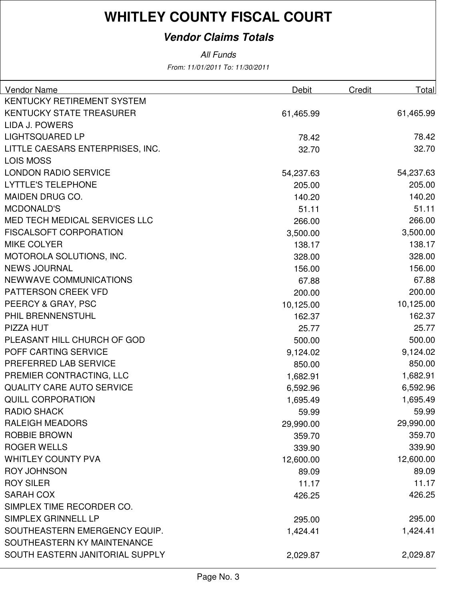### **Vendor Claims Totals**

All Funds

From: 11/01/2011 To: 11/30/2011

| <b>Vendor Name</b>                | Debit     | Credit<br><b>Total</b> |
|-----------------------------------|-----------|------------------------|
| <b>KENTUCKY RETIREMENT SYSTEM</b> |           |                        |
| <b>KENTUCKY STATE TREASURER</b>   | 61,465.99 | 61,465.99              |
| LIDA J. POWERS                    |           |                        |
| <b>LIGHTSQUARED LP</b>            | 78.42     | 78.42                  |
| LITTLE CAESARS ENTERPRISES, INC.  | 32.70     | 32.70                  |
| <b>LOIS MOSS</b>                  |           |                        |
| <b>LONDON RADIO SERVICE</b>       | 54,237.63 | 54,237.63              |
| <b>LYTTLE'S TELEPHONE</b>         | 205.00    | 205.00                 |
| MAIDEN DRUG CO.                   | 140.20    | 140.20                 |
| <b>MCDONALD'S</b>                 | 51.11     | 51.11                  |
| MED TECH MEDICAL SERVICES LLC     | 266.00    | 266.00                 |
| <b>FISCALSOFT CORPORATION</b>     | 3,500.00  | 3,500.00               |
| <b>MIKE COLYER</b>                | 138.17    | 138.17                 |
| MOTOROLA SOLUTIONS, INC.          | 328.00    | 328.00                 |
| <b>NEWS JOURNAL</b>               | 156.00    | 156.00                 |
| NEWWAVE COMMUNICATIONS            | 67.88     | 67.88                  |
| PATTERSON CREEK VFD               | 200.00    | 200.00                 |
| PEERCY & GRAY, PSC                | 10,125.00 | 10,125.00              |
| PHIL BRENNENSTUHL                 | 162.37    | 162.37                 |
| PIZZA HUT                         | 25.77     | 25.77                  |
| PLEASANT HILL CHURCH OF GOD       | 500.00    | 500.00                 |
| POFF CARTING SERVICE              | 9,124.02  | 9,124.02               |
| PREFERRED LAB SERVICE             | 850.00    | 850.00                 |
| PREMIER CONTRACTING, LLC          | 1,682.91  | 1,682.91               |
| <b>QUALITY CARE AUTO SERVICE</b>  | 6,592.96  | 6,592.96               |
| <b>QUILL CORPORATION</b>          | 1,695.49  | 1,695.49               |
| <b>RADIO SHACK</b>                | 59.99     | 59.99                  |
| <b>RALEIGH MEADORS</b>            | 29,990.00 | 29,990.00              |
| <b>ROBBIE BROWN</b>               | 359.70    | 359.70                 |
| <b>ROGER WELLS</b>                | 339.90    | 339.90                 |
| <b>WHITLEY COUNTY PVA</b>         | 12,600.00 | 12,600.00              |
| <b>ROY JOHNSON</b>                | 89.09     | 89.09                  |
| <b>ROY SILER</b>                  | 11.17     | 11.17                  |
| <b>SARAH COX</b>                  | 426.25    | 426.25                 |
| SIMPLEX TIME RECORDER CO.         |           |                        |
| <b>SIMPLEX GRINNELL LP</b>        | 295.00    | 295.00                 |
| SOUTHEASTERN EMERGENCY EQUIP.     | 1,424.41  | 1,424.41               |
| SOUTHEASTERN KY MAINTENANCE       |           |                        |
| SOUTH EASTERN JANITORIAL SUPPLY   | 2,029.87  | 2,029.87               |
|                                   |           |                        |